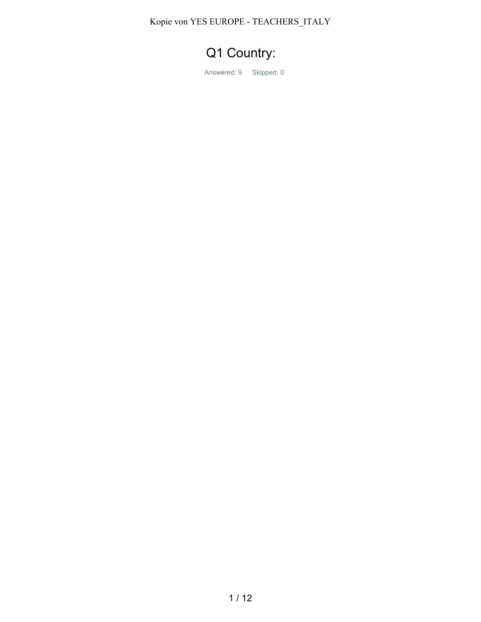Kopie von YES EUROPE - TEACHERS\_ITALY

## Q1 Country:

Answered: 9 Skipped: 0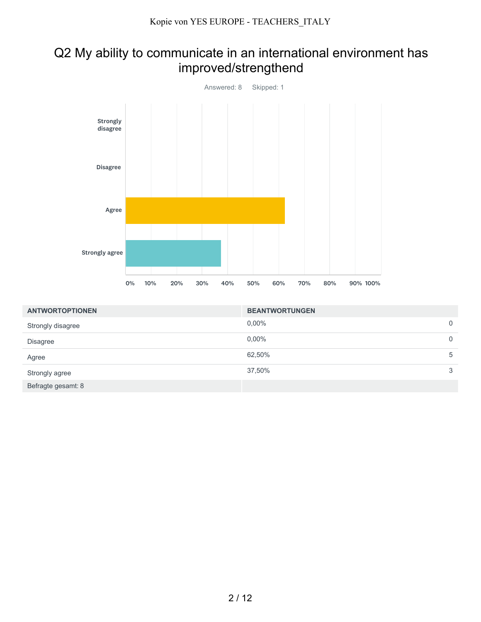## Q2 My ability to communicate in an international environment has improved/strengthend



| <b>ANTWORTOPTIONEN</b> | <b>BEANTWORTUNGEN</b> |   |
|------------------------|-----------------------|---|
| Strongly disagree      | $0.00\%$              | 0 |
| <b>Disagree</b>        | $0.00\%$              | 0 |
| Agree                  | 62,50%                | 5 |
| Strongly agree         | 37,50%                | 3 |
| Befragte gesamt: 8     |                       |   |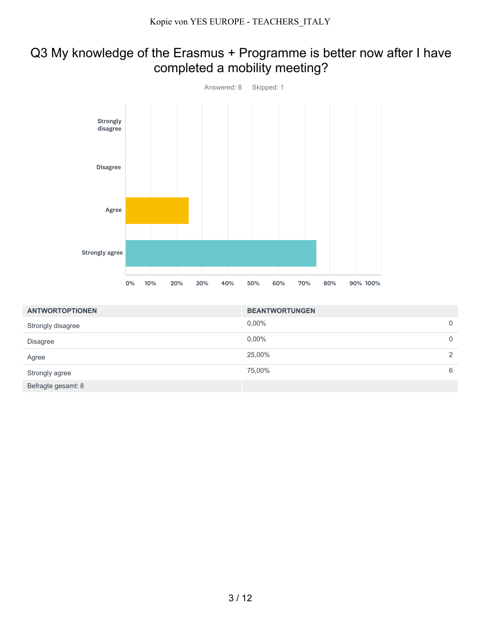#### Q3 My knowledge of the Erasmus + Programme is better now after I have completed a mobility meeting?



| <b>ANTWORTOPTIONEN</b> | <b>BEANTWORTUNGEN</b> |             |
|------------------------|-----------------------|-------------|
| Strongly disagree      | $0.00\%$              | $\mathbf 0$ |
| <b>Disagree</b>        | 0,00%                 | 0           |
| Agree                  | 25,00%                | 2           |
| Strongly agree         | 75,00%                | 6           |
| Befragte gesamt: 8     |                       |             |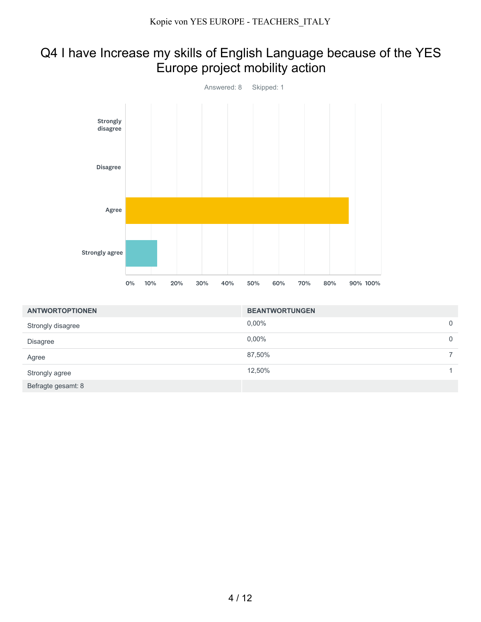## Q4 I have Increase my skills of English Language because of the YES Europe project mobility action



| <b>ANTWORTOPTIONEN</b> | <b>BEANTWORTUNGEN</b> |             |
|------------------------|-----------------------|-------------|
| Strongly disagree      | 0,00%                 | $\mathbf 0$ |
| <b>Disagree</b>        | $0.00\%$              | $\mathbf 0$ |
| Agree                  | 87,50%                |             |
| Strongly agree         | 12,50%                |             |
| Befragte gesamt: 8     |                       |             |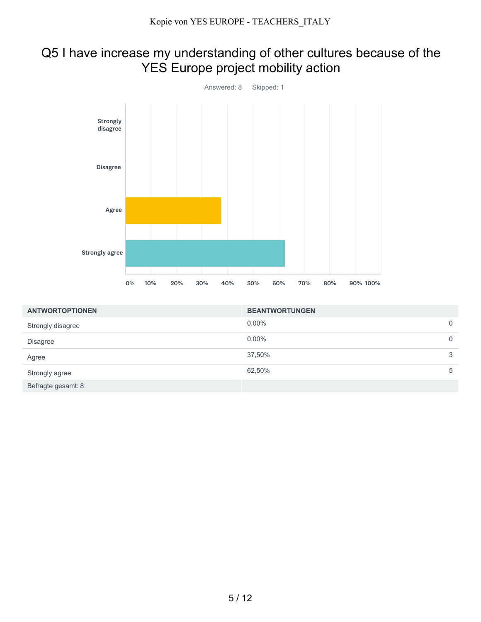## Q5 I have increase my understanding of other cultures because of the YES Europe project mobility action



| <b>ANTWORTOPTIONEN</b> | <b>BEANTWORTUNGEN</b> |             |
|------------------------|-----------------------|-------------|
| Strongly disagree      | $0.00\%$              | 0           |
| <b>Disagree</b>        | $0.00\%$              | $\mathbf 0$ |
| Agree                  | 37,50%                | 3           |
| Strongly agree         | 62,50%                | 5           |
| Befragte gesamt: 8     |                       |             |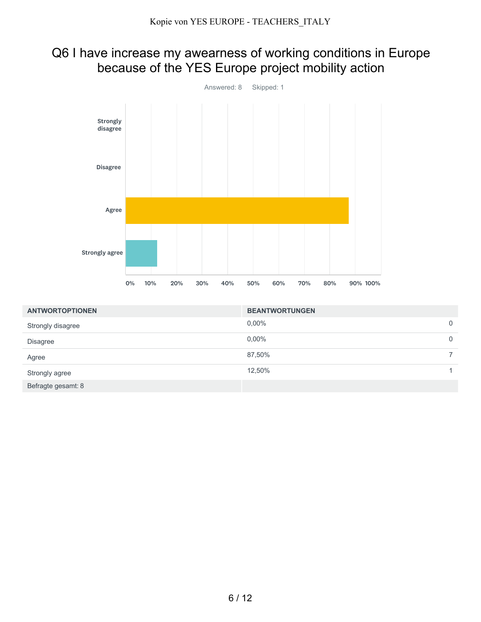## Q6 I have increase my awearness of working conditions in Europe because of the YES Europe project mobility action



| <b>ANTWORTOPTIONEN</b> | <b>BEANTWORTUNGEN</b> |             |
|------------------------|-----------------------|-------------|
| Strongly disagree      | $0.00\%$              | $\mathbf 0$ |
| <b>Disagree</b>        | $0.00\%$              | 0           |
| Agree                  | 87,50%                |             |
| Strongly agree         | 12,50%                |             |
| Befragte gesamt: 8     |                       |             |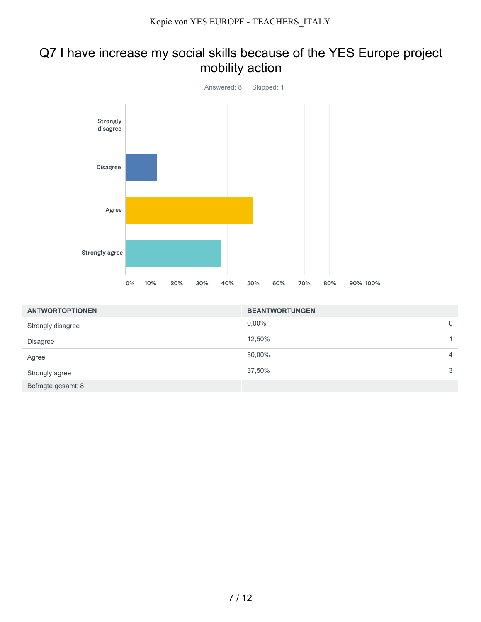#### Q7 I have increase my social skills because of the YES Europe project mobility action



| <b>ANTWORTOPTIONEN</b> | <b>BEANTWORTUNGEN</b> |                |
|------------------------|-----------------------|----------------|
| Strongly disagree      | $0.00\%$              | 0              |
| <b>Disagree</b>        | 12,50%                |                |
| Agree                  | 50,00%                | $\overline{4}$ |
| Strongly agree         | 37,50%                | 3              |
| Befragte gesamt: 8     |                       |                |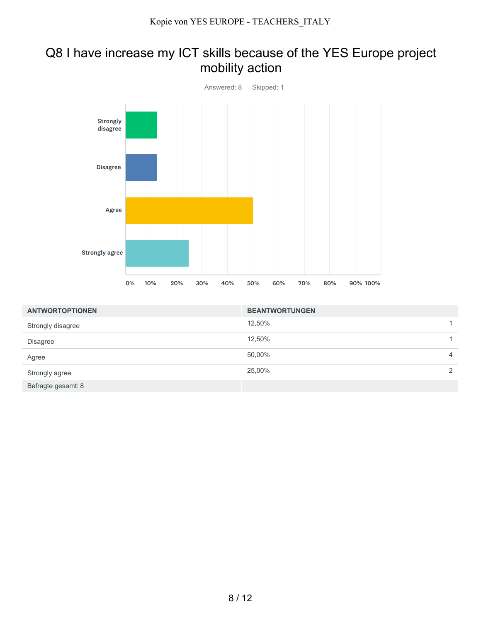#### Q8 I have increase my ICT skills because of the YES Europe project mobility action



| <b>ANTWORTOPTIONEN</b> | <b>BEANTWORTUNGEN</b> |                |
|------------------------|-----------------------|----------------|
| Strongly disagree      | 12,50%                |                |
| <b>Disagree</b>        | 12,50%                |                |
| Agree                  | 50,00%                | $\overline{4}$ |
| Strongly agree         | 25,00%                | 2              |
| Befragte gesamt: 8     |                       |                |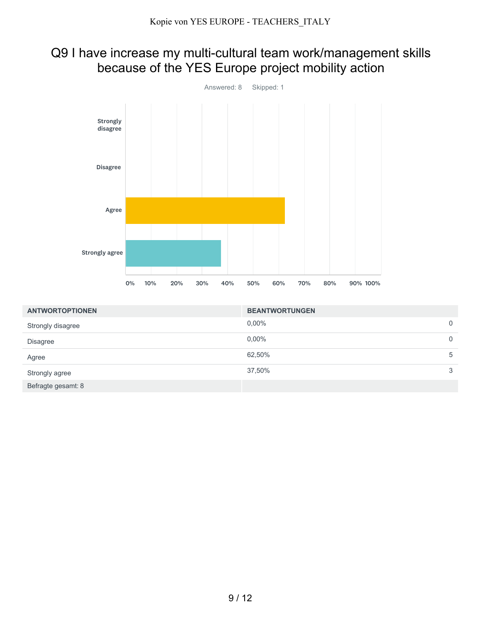## Q9 I have increase my multi-cultural team work/management skills because of the YES Europe project mobility action



| <b>ANTWORTOPTIONEN</b> | <b>BEANTWORTUNGEN</b> |             |
|------------------------|-----------------------|-------------|
| Strongly disagree      | $0.00\%$              | $\mathbf 0$ |
| <b>Disagree</b>        | $0.00\%$              | 0           |
| Agree                  | 62,50%                | 5           |
| Strongly agree         | 37,50%                | 3           |
| Befragte gesamt: 8     |                       |             |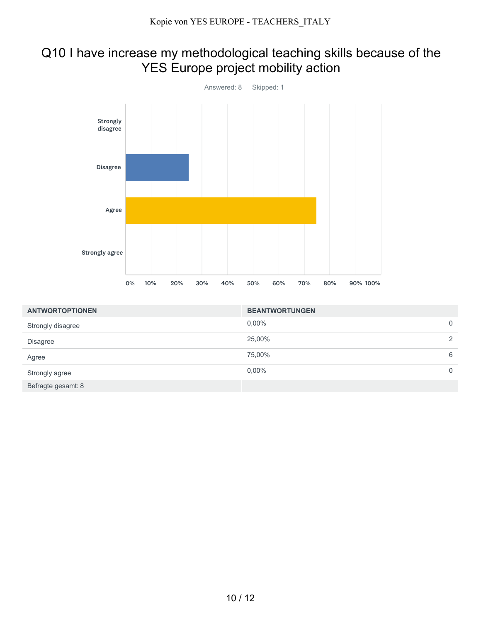## Q10 I have increase my methodological teaching skills because of the YES Europe project mobility action



| <b>ANTWORTOPTIONEN</b> | <b>BEANTWORTUNGEN</b> |          |
|------------------------|-----------------------|----------|
| Strongly disagree      | $0.00\%$              | 0        |
| <b>Disagree</b>        | 25,00%                | 2        |
| Agree                  | 75,00%                | 6        |
| Strongly agree         | $0.00\%$              | $\Omega$ |
| Befragte gesamt: 8     |                       |          |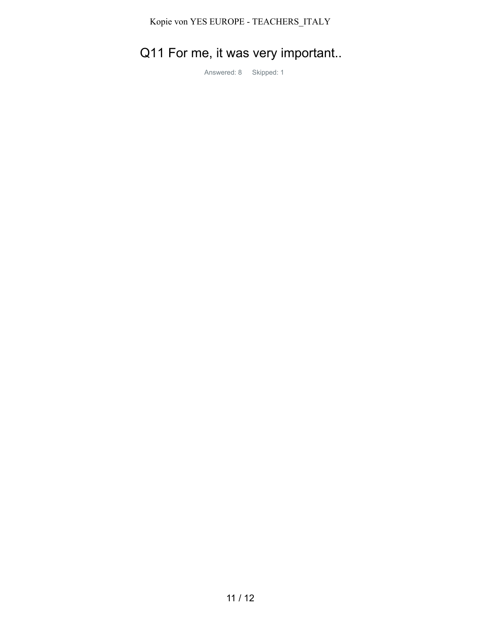Kopie von YES EUROPE - TEACHERS\_ITALY

# Q11 For me, it was very important..

Answered: 8 Skipped: 1